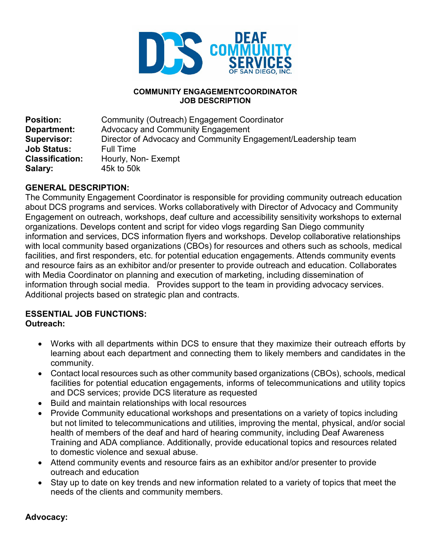

#### **COMMUNITY ENGAGEMENTCOORDINATOR JOB DESCRIPTION**

| <b>Position:</b>       | Community (Outreach) Engagement Coordinator                   |
|------------------------|---------------------------------------------------------------|
| <b>Department:</b>     | Advocacy and Community Engagement                             |
| Supervisor:            | Director of Advocacy and Community Engagement/Leadership team |
| <b>Job Status:</b>     | Full Time                                                     |
| <b>Classification:</b> | Hourly, Non-Exempt                                            |
| Salary:                | 45k to 50k                                                    |

#### **GENERAL DESCRIPTION:**

The Community Engagement Coordinator is responsible for providing community outreach education about DCS programs and services. Works collaboratively with Director of Advocacy and Community Engagement on outreach, workshops, deaf culture and accessibility sensitivity workshops to external organizations. Develops content and script for video vlogs regarding San Diego community information and services, DCS information flyers and workshops. Develop collaborative relationships with local community based organizations (CBOs) for resources and others such as schools, medical facilities, and first responders, etc. for potential education engagements. Attends community events and resource fairs as an exhibitor and/or presenter to provide outreach and education. Collaborates with Media Coordinator on planning and execution of marketing, including dissemination of information through social media. Provides support to the team in providing advocacy services. Additional projects based on strategic plan and contracts.

#### **ESSENTIAL JOB FUNCTIONS: Outreach:**

- Works with all departments within DCS to ensure that they maximize their outreach efforts by learning about each department and connecting them to likely members and candidates in the community.
- Contact local resources such as other community based organizations (CBOs), schools, medical facilities for potential education engagements, informs of telecommunications and utility topics and DCS services; provide DCS literature as requested
- Build and maintain relationships with local resources
- Provide Community educational workshops and presentations on a variety of topics including but not limited to telecommunications and utilities, improving the mental, physical, and/or social health of members of the deaf and hard of hearing community, including Deaf Awareness Training and ADA compliance. Additionally, provide educational topics and resources related to domestic violence and sexual abuse.
- Attend community events and resource fairs as an exhibitor and/or presenter to provide outreach and education
- Stay up to date on key trends and new information related to a variety of topics that meet the needs of the clients and community members.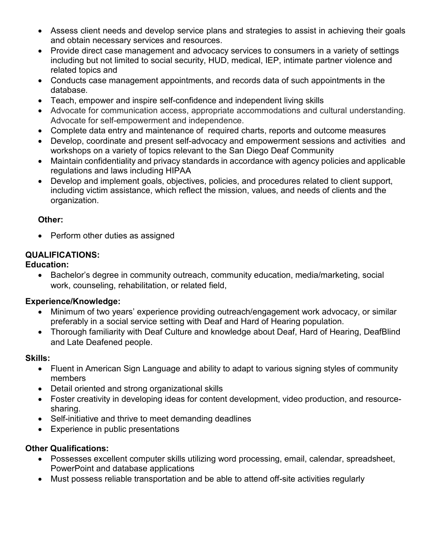- Assess client needs and develop service plans and strategies to assist in achieving their goals and obtain necessary services and resources.
- Provide direct case management and advocacy services to consumers in a variety of settings including but not limited to social security, HUD, medical, IEP, intimate partner violence and related topics and
- Conducts case management appointments, and records data of such appointments in the database.
- Teach, empower and inspire self-confidence and independent living skills
- Advocate for communication access, appropriate accommodations and cultural understanding. Advocate for self-empowerment and independence.
- Complete data entry and maintenance of required charts, reports and outcome measures
- Develop, coordinate and present self-advocacy and empowerment sessions and activities and workshops on a variety of topics relevant to the San Diego Deaf Community
- Maintain confidentiality and privacy standards in accordance with agency policies and applicable regulations and laws including HIPAA
- Develop and implement goals, objectives, policies, and procedures related to client support, including victim assistance, which reflect the mission, values, and needs of clients and the organization.

#### **Other:**

• Perform other duties as assigned

# **QUALIFICATIONS:**

# **Education:**

• Bachelor's degree in community outreach, community education, media/marketing, social work, counseling, rehabilitation, or related field,

# **Experience/Knowledge:**

- Minimum of two years' experience providing outreach/engagement work advocacy, or similar preferably in a social service setting with Deaf and Hard of Hearing population.
- Thorough familiarity with Deaf Culture and knowledge about Deaf, Hard of Hearing, DeafBlind and Late Deafened people.

# **Skills:**

- Fluent in American Sign Language and ability to adapt to various signing styles of community members
- Detail oriented and strong organizational skills
- Foster creativity in developing ideas for content development, video production, and resourcesharing.
- Self-initiative and thrive to meet demanding deadlines
- Experience in public presentations

# **Other Qualifications:**

- Possesses excellent computer skills utilizing word processing, email, calendar, spreadsheet, PowerPoint and database applications
- Must possess reliable transportation and be able to attend off-site activities regularly